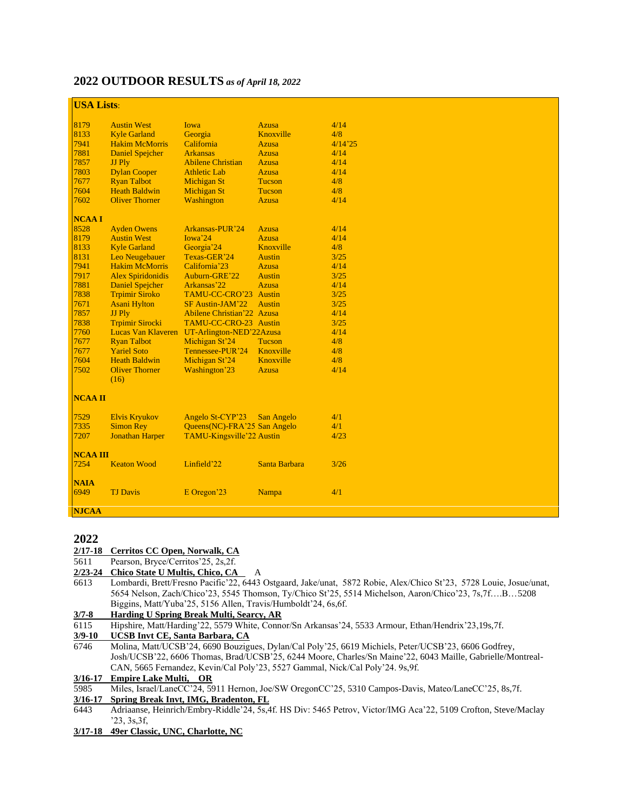## **2022 OUTDOOR RESULTS** *as of April 18, 2022*

## **USA Lists**

| UDA LISW        |                          |                                             |               |         |
|-----------------|--------------------------|---------------------------------------------|---------------|---------|
| 8179            | <b>Austin West</b>       | Iowa                                        | <b>Azusa</b>  | 4/14    |
| 8133            | <b>Kyle Garland</b>      | Georgia                                     | Knoxville     | 4/8     |
| 7941            | <b>Hakim McMorris</b>    | California                                  | <b>Azusa</b>  | 4/14'25 |
| 7881            | <b>Daniel Spejcher</b>   | <b>Arkansas</b>                             | <b>Azusa</b>  | 4/14    |
| 7857            | JJ Ply                   | <b>Abilene Christian</b>                    | <b>Azusa</b>  | 4/14    |
| 7803            | <b>Dylan Cooper</b>      | <b>Athletic Lab</b>                         | <b>Azusa</b>  | 4/14    |
| 7677            | <b>Ryan Talbot</b>       | <b>Michigan St</b>                          | Tucson        | 4/8     |
| 7604            | <b>Heath Baldwin</b>     | <b>Michigan St</b>                          | Tucson        | 4/8     |
| 7602            | <b>Oliver Thorner</b>    | Washington                                  | <b>Azusa</b>  | 4/14    |
| <b>NCAAI</b>    |                          |                                             |               |         |
| 8528            | <b>Ayden Owens</b>       | Arkansas-PUR'24                             | <b>Azusa</b>  | 4/14    |
| 8179            | <b>Austin West</b>       | Iowa'24                                     | <b>Azusa</b>  | 4/14    |
| 8133            | <b>Kyle Garland</b>      | Georgia'24                                  | Knoxville     | 4/8     |
| 8131            | Leo Neugebauer           | Texas-GER'24                                | <b>Austin</b> | 3/25    |
| 7941            | <b>Hakim McMorris</b>    | California <sup>'</sup> 23                  | Azusa         | 4/14    |
| 7917            | <b>Alex Spiridonidis</b> | Auburn-GRE'22                               | <b>Austin</b> | 3/25    |
| 7881            | <b>Daniel Spejcher</b>   | Arkansas'22                                 | <b>Azusa</b>  | 4/14    |
| 7838            | <b>Trpimir Siroko</b>    | TAMU-CC-CRO'23                              | <b>Austin</b> | 3/25    |
| 7671            | <b>Asani Hylton</b>      | SF Austin-JAM'22                            | <b>Austin</b> | 3/25    |
| 7857            | JJ Ply                   | Abilene Christian'22 Azusa                  |               | 4/14    |
| 7838            | <b>Trpimir Sirocki</b>   | TAMU-CC-CRO-23 Austin                       |               | 3/25    |
| 7760            |                          | Lucas Van Klaveren UT-Arlington-NED'22Azusa |               | 4/14    |
| 7677            | <b>Ryan Talbot</b>       | Michigan St'24                              | <b>Tucson</b> | 4/8     |
| 7677            | <b>Yariel Soto</b>       | Tennessee-PUR'24                            | Knoxville     | 4/8     |
| 7604            | <b>Heath Baldwin</b>     | Michigan St'24                              | Knoxville     | 4/8     |
| 7502            | <b>Oliver Thorner</b>    | Washington'23                               | Azusa         | 4/14    |
|                 | (16)                     |                                             |               |         |
| <b>NCAA II</b>  |                          |                                             |               |         |
| 7529            | <b>Elvis Kryukov</b>     | Angelo St-CYP'23                            | San Angelo    | 4/1     |
| 7335            | <b>Simon Rev</b>         | Queens(NC)-FRA'25 San Angelo                |               | 4/1     |
| 7207            | <b>Jonathan Harper</b>   | TAMU-Kingsville'22 Austin                   |               | 4/23    |
| <b>NCAA III</b> |                          |                                             |               |         |
| 7254            | <b>Keaton Wood</b>       | Linfield'22                                 | Santa Barbara | 3/26    |
| <b>NAIA</b>     |                          |                                             |               |         |
| 6949            | <b>TJ Davis</b>          | E Oregon'23                                 | Nampa         | 4/1     |
| <b>NJCAA</b>    |                          |                                             |               |         |

## 

#### **2/17-18 Cerritos CC Open, Norwalk, CA**

Pearson, Bryce/Cerritos'25, 2s,2f.

#### **2/23-24 Chico State U Multis, Chico, CA** A

6613 Lombardi, Brett/Fresno Pacific'22, 6443 Ostgaard, Jake/unat, 5872 Robie, Alex/Chico St'23, 5728 Louie, Josue/unat, 5654 Nelson, Zach/Chico'23, 5545 Thomson, Ty/Chico St'25, 5514 Michelson, Aaron/Chico'23, 7s,7f….B…5208 Biggins, Matt/Yuba'25, 5156 Allen, Travis/Humboldt'24, 6s,6f.

# **3/7-8 Harding U Spring Break Multi, Searcy, AR**

6115 Hipshire, Matt/Harding'22, 5579 White, Connor/Sn Arkansas'24, 5533 Armour, Ethan/Hendrix'23,19s,7f.<br>3/9-10 UCSB Invt CE, Santa Barbara, CA

**3/9-10 UCSB Invt CE, Santa Barbara, CA**

 Molina, Matt/UCSB'24, 6690 Bouzigues, Dylan/Cal Poly'25, 6619 Michiels, Peter/UCSB'23, 6606 Godfrey, Josh/UCSB'22, 6606 Thomas, Brad/UCSB'25, 6244 Moore, Charles/Sn Maine'22, 6043 Maille, Gabrielle/Montreal-CAN, 5665 Fernandez, Kevin/Cal Poly'23, 5527 Gammal, Nick/Cal Poly'24. 9s,9f.

## **3/16-17 Empire Lake Multi, OR**

Miles, Israel/LaneCC'24, 5911 Hernon, Joe/SW OregonCC'25, 5310 Campos-Davis, Mateo/LaneCC'25, 8s,7f.

#### **3/16-17 Spring Break Invt, IMG, Bradenton, FL**

- Adriaanse, Heinrich/Embry-Riddle'24, 5s,4f. HS Div: 5465 Petrov, Victor/IMG Aca'22, 5109 Crofton, Steve/Maclay '23, 3s,3f,
- **3/17-18 49er Classic, UNC, Charlotte, NC**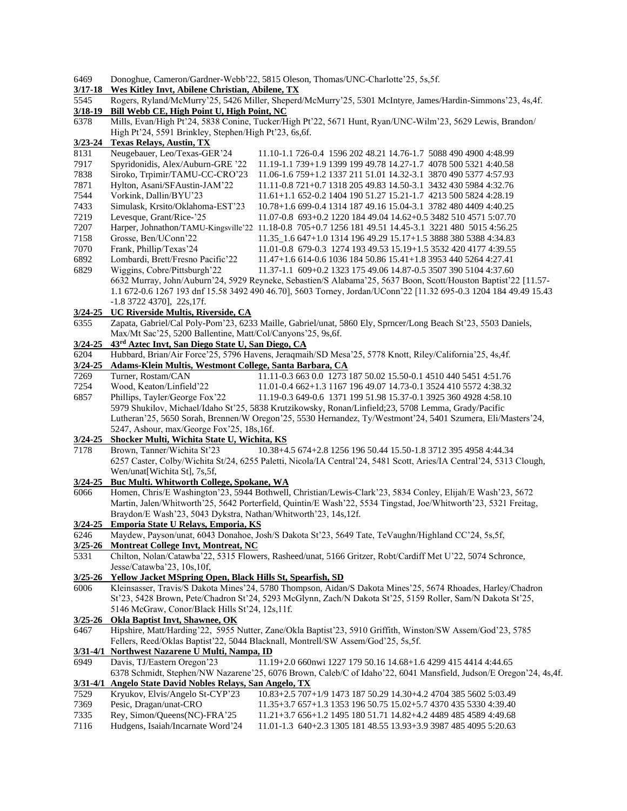| 6469 |  |  |  | Donoghue, Cameron/Gardner-Webb'22, 5815 Oleson, Thomas/UNC-Charlotte'25, 5s, 5f. |  |
|------|--|--|--|----------------------------------------------------------------------------------|--|
|------|--|--|--|----------------------------------------------------------------------------------|--|

|  | 3/17-18 Wes Kitley Invt, Abilene Christian, Abilene, TX |  |  |  |  |  |
|--|---------------------------------------------------------|--|--|--|--|--|
|--|---------------------------------------------------------|--|--|--|--|--|

5545 Rogers, Ryland/McMurry'25, 5426 Miller, Sheperd/McMurry'25, 5301 McIntyre, James/Hardin-Simmons'23, 4s,4f. **3/18-19 Bill Webb CE, High Point U, High Point, NC**

6378 Mills, Evan/High Pt'24, 5838 Conine, Tucker/High Pt'22, 5671 Hunt, Ryan/UNC-Wilm'23, 5629 Lewis, Brandon/ High Pt'24, 5591 Brinkley, Stephen/High Pt'23, 6s,6f.

#### **3/23-24 Texas Relays, Austin, TX** 8131 Neugebauer, Leo/Texas-GER'24 11.10-1.1 726-0.4 1596 202 48.21 14.76-1.7 5088 490 4900 4:48.99 7917 Spyridonidis, Alex/Auburn-GRE '22 11.19-1.1 739+1.9 1399 199 49.78 14.27-1.7 4078 500 5321 4:40.58 7838 Siroko, Trpimir/TAMU-CC-CRO'23 11.06-1.6 759+1.2 1337 211 51.01 14.32-3.1 3870 490 5377 4:57.93 7871 Hylton, Asani/SFAustin-JAM'22 11.11-0.8 721+0.7 1318 205 49.83 14.50-3.1 3432 430 5984 4:32.76 7544 Vorkink, Dallin/BYU'23 11.61+1.1 652-0.2 1404 190 51.27 15.21-1.7 4213 500 5824 4:28.19 7433 Simulask, Krsito/Oklahoma-EST'23 10.78+1.6 699-0.4 1314 187 49.16 15.04-3.1 3782 480 4409 4:40.25 7219 Levesque, Grant/Rice-'25 11.07-0.8 693+0.2 1220 184 49.04 14.62+0.5 3482 510 4571 5:07.70 7207 Harper, Johnathon/TAMU-Kingsville'22 11.18-0.8 705+0.7 1256 181 49.51 14.45-3.1 3221 480 5015 4:56.25 7158 Grosse, Ben/UConn'22 11.35\_1.6 647+1.0 1314 196 49.29 15.17+1.5 3888 380 5388 4:34.83 7070 Frank, Phillip/Texas'24 11.01-0.8 679-0.3 1274 193 49.53 15.19+1.5 3532 420 4177 4:39.55 6892 Lombardi, Brett/Fresno Pacific'22 11.47+1.6 614-0.6 1036 184 50.86 15.41+1.8 3953 440 5264 4:27.41 6829 Wiggins, Cobre/Pittsburgh'22 11.37-1.1 609+0.2 1323 175 49.06 14.87-0.5 3507 390 5104 4:37.60 6632 Murray, John/Auburn'24, 5929 Reyneke, Sebastien/S Alabama'25, 5637 Boon, Scott/Houston Baptist'22 [11.57- 1.1 672-0.6 1267 193 dnf 15.58 3492 490 46.70], 5603 Torney, Jordan/UConn'22 [11.32 695-0.3 1204 184 49.49 15.43 -1.8 3722 4370], 22s,17f. **3/24-25 UC Riverside Multis, Riverside, CA** 6355 Zapata, Gabriel/Cal Poly-Pom'23, 6233 Maille, Gabriel/unat, 5860 Ely, Sprncer/Long Beach St'23, 5503 Daniels, Max/Mt Sac'25, 5200 Ballentine, Matt/Col/Canyons'25, 9s,6f. **3/24-25 43rd Aztec Invt, San Diego State U, San Diego, CA** 6204 Hubbard, Brian/Air Force'25, 5796 Havens, Jeraqmaih/SD Mesa'25, 5778 Knott, Riley/California'25, 4s,4f. **3/24-25 Adams-Klein Multis, Westmont College, Santa Barbara, CA** 7269 Turner, Rostam/CAN 11.11-0.3 663 0.0 1273 187 50.02 15.50-0.1 4510 440 5451 4:51.76 7254 Wood, Keaton/Linfield'22 11.01-0.4 662+1.3 1167 196 49.07 14.73-0.1 3524 410 5572 4:38.32 6857 Phillips, Tayler/George Fox'22 11.19-0.3 649-0.6 1371 199 51.98 15.37-0.1 3925 360 4928 4:58.10 5979 Shukilov, Michael/Idaho St'25, 5838 Krutzikowsky, Ronan/Linfield;23, 5708 Lemma, Grady/Pacific Lutheran'25, 5650 Sorah, Brennen/W Oregon'25, 5530 Hernandez, Ty/Westmont'24, 5401 Szumera, Eli/Masters'24, 5247, Ashour, max/George Fox'25, 18s,16f. **3/24-25 Shocker Multi, Wichita State U, Wichita, KS** 7178 Brown, Tanner/Wichita St'23 10.38+4.5 674+2.8 1256 196 50.44 15.50-1.8 3712 395 4958 4:44.34 6257 Caster, Colby/Wichita St/24, 6255 Paletti, Nicola/IA Central'24, 5481 Scott, Aries/IA Central'24, 5313 Clough, Wen/unat[Wichita St], 7s,5f, **3/24-25 Buc Multi. Whitworth College, Spokane, WA** 6066 Homen, Chris/E Washington'23, 5944 Bothwell, Christian/Lewis-Clark'23, 5834 Conley, Elijah/E Wash'23, 5672 Martin, Jalen/Whitworth'25, 5642 Porterfield, Quintin/E Wash'22, 5534 Tingstad, Joe/Whitworth'23, 5321 Freitag, Braydon/E Wash'23, 5043 Dykstra, Nathan/Whitworth'23, 14s,12f. **3/24-25 Emporia State U Relays, Emporia, KS** 6246 Maydew, Payson/unat, 6043 Donahoe, Josh/S Dakota St'23, 5649 Tate, TeVaughn/Highland CC'24, 5s,5f, **3/25-26 Montreat College Invt, Montreat, NC** 5331 Chilton, Nolan/Catawba'22, 5315 Flowers, Rasheed/unat, 5166 Gritzer, Robt/Cardiff Met U'22, 5074 Schronce, Jesse/Catawba'23, 10s,10f, **3/25-26 Yellow Jacket MSpring Open, Black Hills St, Spearfish, SD** 6006 Kleinsasser, Travis/S Dakota Mines'24, 5780 Thompson, Aidan/S Dakota Mines'25, 5674 Rhoades, Harley/Chadron St'23, 5428 Brown, Pete/Chadron St'24, 5293 McGlynn, Zach/N Dakota St'25, 5159 Roller, Sam/N Dakota St'25, 5146 McGraw, Conor/Black Hills St'24, 12s,11f. **3/25-26 Okla Baptist Invt, Shawnee, OK** 6467 Hipshire, Matt/Harding'22, 5955 Nutter, Zane/Okla Baptist'23, 5910 Griffith, Winston/SW Assem/God'23, 5785 Fellers, Reed/Oklas Baptist'22, 5044 Blacknall, Montrell/SW Assem/God'25, 5s,5f. **3/31-4/1 Northwest Nazarene U Multi, Nampa, ID** 6949 Davis, TJ/Eastern Oregon'23 11.19+2.0 660nwi 1227 179 50.16 14.68+1.6 4299 415 4414 4:44.65 6378 Schmidt, Stephen/NW Nazarene'25, 6076 Brown, Caleb/C of Idaho'22, 6041 Mansfield, Judson/E Oregon'24, 4s,4f. **3/31-4/1 Angelo State David Nobles Relays, San Angelo, TX** 7529 Kryukov, Elvis/Angelo St-CYP'23 10.83+2.5 707+1/9 1473 187 50.29 14.30+4.2 4704 385 5602 5:03.49 7369 Pesic, Dragan/unat-CRO 11.35+3.7 657+1.3 1353 196 50.75 15.02+5.7 4370 435 5330 4:39.40 7335 Rey, Simon/Queens(NC)-FRA'25 11.21+3.7 656+1.2 1495 180 51.71 14.82+4.2 4489 485 4589 4:49.68 7116 Hudgens, Isaiah/Incarnate Word'24 11.01-1.3 640+2.3 1305 181 48.55 13.93+3.9 3987 485 4095 5:20.63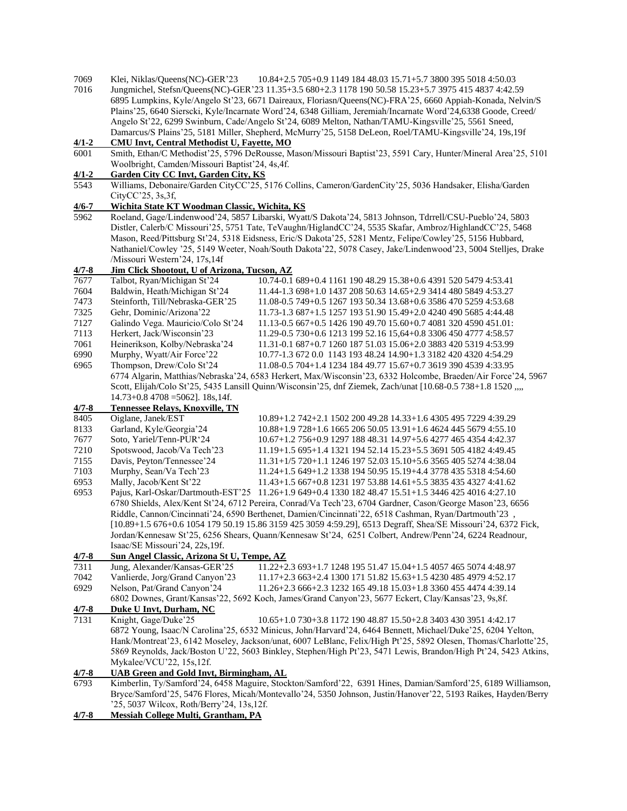- 7069 Klei, Niklas/Queens(NC)-GER'23 10.84+2.5 705+0.9 1149 184 48.03 15.71+5.7 3800 395 5018 4:50.03
- 7016 Jungmichel, Stefsn/Queens(NC)-GER'23 11.35+3.5 680+2.3 1178 190 50.58 15.23+5.7 3975 415 4837 4:42.59 6895 Lumpkins, Kyle/Angelo St'23, 6671 Daireaux, Floriasn/Queens(NC)-FRA'25, 6660 Appiah-Konada, Nelvin/S Plains'25, 6640 Sierscki, Kyle/Incarnate Word'24, 6348 Gilliam, Jeremiah/Incarnate Word'24,6338 Goode, Creed/ Angelo St'22, 6299 Swinburn, Cade/Angelo St'24, 6089 Melton, Nathan/TAMU-Kingsville'25, 5561 Sneed, Damarcus/S Plains'25, 5181 Miller, Shepherd, McMurry'25, 5158 DeLeon, Roel/TAMU-Kingsville'24, 19s,19f

## **4/1-2 CMU Invt, Central Methodist U, Fayette, MO**

6001 Smith, Ethan/C Methodist'25, 5796 DeRousse, Mason/Missouri Baptist'23, 5591 Cary, Hunter/Mineral Area'25, 5101 Woolbright, Camden/Missouri Baptist'24, 4s,4f.

# **4/1-2 Garden City CC Invt, Garden City, KS**

5543 Williams, Debonaire/Garden CityCC'25, 5176 Collins, Cameron/GardenCity'25, 5036 Handsaker, Elisha/Garden CityCC'25, 3s,3f,

## **4/6-7 Wichita State KT Woodman Classic, Wichita, KS**

5962 Roeland, Gage/Lindenwood'24, 5857 Libarski, Wyatt/S Dakota'24, 5813 Johnson, Tdrrell/CSU-Pueblo'24, 5803 Distler, Calerb/C Missouri'25, 5751 Tate, TeVaughn/HiglandCC'24, 5535 Skafar, Ambroz/HighlandCC'25, 5468 Mason, Reed/Pittsburg St'24, 5318 Eidsness, Eric/S Dakota'25, 5281 Mentz, Felipe/Cowley'25, 5156 Hubbard, Nathaniel/Cowley '25, 5149 Weeter, Noah/South Dakota'22, 5078 Casey, Jake/Lindenwood'23, 5004 Stelljes, Drake /Missouri Western'24, 17s,14f

## **4/7-8 Jim Click Shootout, U of Arizona, Tucson, AZ**

| 7677      | Talbot, Ryan/Michigan St'24                                                                                     | 10.74-0.1 689+0.4 1161 190 48.29 15.38+0.6 4391 520 5479 4:53.41                                              |  |  |  |
|-----------|-----------------------------------------------------------------------------------------------------------------|---------------------------------------------------------------------------------------------------------------|--|--|--|
| 7604      | Baldwin, Heath/Michigan St'24                                                                                   | 11.44-1.3 698+1.0 1437 208 50.63 14.65+2.9 3414 480 5849 4:53.27                                              |  |  |  |
| 7473      | Steinforth, Till/Nebraska-GER'25                                                                                | 11.08-0.5 749+0.5 1267 193 50.34 13.68+0.6 3586 470 5259 4:53.68                                              |  |  |  |
| 7325      | Gehr, Dominic/Arizona'22                                                                                        | 11.73-1.3 687+1.5 1257 193 51.90 15.49+2.0 4240 490 5685 4:44.48                                              |  |  |  |
| 7127      | Galindo Vega. Mauricio/Colo St'24                                                                               | 11.13-0.5 667+0.5 1426 190 49.70 15.60+0.7 4081 320 4590 451.01:                                              |  |  |  |
| 7113      | Herkert, Jack/Wisconsin'23                                                                                      | 11.29-0.5 730+0.6 1213 199 52.16 15,64+0.8 3306 450 4777 4:58.57                                              |  |  |  |
| 7061      | Heinerikson, Kolby/Nebraska'24                                                                                  | 11.31-0.1 687+0.7 1260 187 51.03 15.06+2.0 3883 420 5319 4:53.99                                              |  |  |  |
| 6990      | Murphy, Wyatt/Air Force'22                                                                                      | 10.77-1.3 672 0.0 1143 193 48.24 14.90+1.3 3182 420 4320 4:54.29                                              |  |  |  |
| 6965      | Thompson, Drew/Colo St'24                                                                                       | 11.08-0.5 704+1.4 1234 184 49.77 15.67+0.7 3619 390 4539 4:33.95                                              |  |  |  |
|           |                                                                                                                 | 6774 Algarin, Matthias/Nebraska'24, 6583 Herkert, Max/Wisconsin'23, 6332 Holcombe, Braeden/Air Force'24, 5967 |  |  |  |
|           |                                                                                                                 | Scott, Elijah/Colo St'25, 5435 Lansill Quinn/Wisconsin'25, dnf Ziemek, Zach/unat [10.68-0.5 738+1.8 1520 ,,,, |  |  |  |
|           | $14.73+0.8$ 4708 = 5062]. 18s, 14f.                                                                             |                                                                                                               |  |  |  |
| $4/7 - 8$ | Tennessee Relays, Knoxville, TN                                                                                 |                                                                                                               |  |  |  |
| 8405      | Oiglane, Janek/EST                                                                                              | 10.89+1.2 742+2.1 1502 200 49.28 14.33+1.6 4305 495 7229 4:39.29                                              |  |  |  |
| 8133      | Garland, Kyle/Georgia'24                                                                                        | 10.88+1.9 728+1.6 1665 206 50.05 13.91+1.6 4624 445 5679 4:55.10                                              |  |  |  |
| 7677      | Soto, Yariel/Tenn-PUR'24                                                                                        | 10.67+1.2 756+0.9 1297 188 48.31 14.97+5.6 4277 465 4354 4:42.37                                              |  |  |  |
| 7210      | Spotswood, Jacob/Va Tech'23                                                                                     | 11.19+1.5 695+1.4 1321 194 52.14 15.23+5.5 3691 505 4182 4:49.45                                              |  |  |  |
| 7155      | Davis, Peyton/Tennessee'24                                                                                      | 11.31+1/5 720+1.1 1246 197 52.03 15.10+5.6 3565 405 5274 4:38.04                                              |  |  |  |
| 7103      | Murphy, Sean/Va Tech'23                                                                                         | 11.24+1.5 649+1.2 1338 194 50.95 15.19+4.4 3778 435 5318 4:54.60                                              |  |  |  |
| 6953      | Mally, Jacob/Kent St'22                                                                                         | 11.43+1.5 667+0.8 1231 197 53.88 14.61+5.5 3835 435 4327 4:41.62                                              |  |  |  |
| 6953      |                                                                                                                 | Pajus, Karl-Oskar/Dartmouth-EST'25 11.26+1.9 649+0.4 1330 182 48.47 15.51+1.5 3446 425 4016 4:27.10           |  |  |  |
|           | 6780 Shields, Alex/Kent St'24, 6712 Pereira, Conrad/Va Tech'23, 6704 Gardner, Cason/George Mason'23, 6656       |                                                                                                               |  |  |  |
|           | Riddle, Cannon/Cincinnati'24, 6590 Berthenet, Damien/Cincinnati'22, 6518 Cashman, Ryan/Dartmouth'23,            |                                                                                                               |  |  |  |
|           |                                                                                                                 | [10.89+1.5 676+0.6 1054 179 50.19 15.86 3159 425 3059 4:59.29], 6513 Degraff, Shea/SE Missouri'24, 6372 Fick, |  |  |  |
|           | Jordan/Kennesaw St'25, 6256 Shears, Quann/Kennesaw St'24, 6251 Colbert, Andrew/Penn'24, 6224 Readnour,          |                                                                                                               |  |  |  |
|           | Isaac/SE Missouri'24, 22s, 19f.                                                                                 |                                                                                                               |  |  |  |
| $4/7 - 8$ | Sun Angel Classic, Arizona St U, Tempe, AZ                                                                      |                                                                                                               |  |  |  |
| 7311      | Jung, Alexander/Kansas-GER'25                                                                                   | 11.22+2.3 693+1.7 1248 195 51.47 15.04+1.5 4057 465 5074 4:48.97                                              |  |  |  |
| 7042      | Vanlierde, Jorg/Grand Canyon'23                                                                                 | 11.17+2.3 663+2.4 1300 171 51.82 15.63+1.5 4230 485 4979 4:52.17                                              |  |  |  |
| 6929      | Nelson, Pat/Grand Canyon'24                                                                                     | 11.26+2.3 666+2.3 1232 165 49.18 15.03+1.8 3360 455 4474 4:39.14                                              |  |  |  |
|           |                                                                                                                 | 6802 Downes, Grant/Kansas'22, 5692 Koch, James/Grand Canyon'23, 5677 Eckert, Clay/Kansas'23, 9s, 8f.          |  |  |  |
| $4/7 - 8$ | Duke U Invt, Durham, NC                                                                                         |                                                                                                               |  |  |  |
| 7131      | Knight, Gage/Duke'25                                                                                            | 10.65+1.0 730+3.8 1172 190 48.87 15.50+2.8 3403 430 3951 4:42.17                                              |  |  |  |
|           | 6872 Young, Isaac/N Carolina'25, 6532 Minicus, John/Harvard'24, 6464 Bennett, Michael/Duke'25, 6204 Yelton,     |                                                                                                               |  |  |  |
|           | Hank/Montreat'23, 6142 Moseley, Jackson/unat, 6007 LeBlanc, Felix/High Pt'25, 5892 Olesen, Thomas/Charlotte'25, |                                                                                                               |  |  |  |
|           | 5869 Reynolds, Jack/Boston U'22, 5603 Binkley, Stephen/High Pt'23, 5471 Lewis, Brandon/High Pt'24, 5423 Atkins, |                                                                                                               |  |  |  |
|           | Mykalee/VCU'22, 15s, 12f.                                                                                       |                                                                                                               |  |  |  |
| $4/7 - 8$ | UAB Green and Gold Invt, Birmingham, AL                                                                         |                                                                                                               |  |  |  |
| 6793      | Kimberlin, Ty/Samford'24, 6458 Maguire, Stockton/Samford'22, 6391 Hines, Damian/Samford'25, 6189 Williamson,    |                                                                                                               |  |  |  |
|           | Bryce/Samford'25, 5476 Flores, Micah/Montevallo'24, 5350 Johnson, Justin/Hanover'22, 5193 Raikes, Hayden/Berry  |                                                                                                               |  |  |  |
|           | '25, 5037 Wilcox, Roth/Berry'24, 13s, 12f.                                                                      |                                                                                                               |  |  |  |

**4/7-8 Messiah College Multi, Grantham, PA**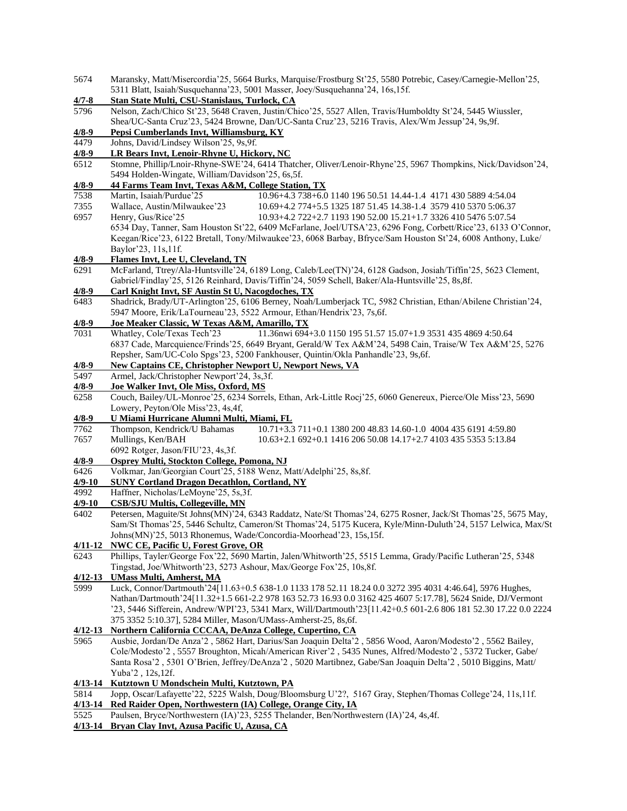| 5674               | Maransky, Matt/Misercordia'25, 5664 Burks, Marquise/Frostburg St'25, 5580 Potrebic, Casey/Carnegie-Mellon'25,                                                                      |  |  |  |
|--------------------|------------------------------------------------------------------------------------------------------------------------------------------------------------------------------------|--|--|--|
|                    | 5311 Blatt, Isaiah/Susquehanna'23, 5001 Masser, Joey/Susquehanna'24, 16s,15f.                                                                                                      |  |  |  |
| $4/7 - 8$          | Stan State Multi, CSU-Stanislaus, Turlock, CA                                                                                                                                      |  |  |  |
| 5796               | Nelson, Zach/Chico St'23, 5648 Craven, Justin/Chico'25, 5527 Allen, Travis/Humboldty St'24, 5445 Wiussler,                                                                         |  |  |  |
|                    | Shea/UC-Santa Cruz'23, 5424 Browne, Dan/UC-Santa Cruz'23, 5216 Travis, Alex/Wm Jessup'24, 9s,9f.                                                                                   |  |  |  |
| $4/8 - 9$          | Pepsi Cumberlands Invt, Williamsburg, KY                                                                                                                                           |  |  |  |
| 4479               | Johns, David/Lindsey Wilson'25, 9s,9f.                                                                                                                                             |  |  |  |
| $4/8 - 9$          | LR Bears Invt, Lenoir-Rhyne U, Hickory, NC                                                                                                                                         |  |  |  |
| 6512               | Stomne, Phillip/Lnoir-Rhyne-SWE'24, 6414 Thatcher, Oliver/Lenoir-Rhyne'25, 5967 Thompkins, Nick/Davidson'24,                                                                       |  |  |  |
|                    | 5494 Holden-Wingate, William/Davidson'25, 6s, 5f.                                                                                                                                  |  |  |  |
| $4/8 - 9$          | 44 Farms Team Invt, Texas A&M, College Station, TX                                                                                                                                 |  |  |  |
| 7538               | Martin, Isaiah/Purdue'25<br>10.96+4.3 738+6.0 1140 196 50.51 14.44-1.4 4171 430 5889 4:54.04                                                                                       |  |  |  |
| 7355               | Wallace, Austin/Milwaukee'23<br>10.69+4.2 774+5.5 1325 187 51.45 14.38-1.4 3579 410 5370 5:06.37                                                                                   |  |  |  |
| 6957               | Henry, Gus/Rice'25<br>10.93+4.2 722+2.7 1193 190 52.00 15.21+1.7 3326 410 5476 5:07.54                                                                                             |  |  |  |
|                    | 6534 Day, Tanner, Sam Houston St'22, 6409 McFarlane, Joel/UTSA'23, 6296 Fong, Corbett/Rice'23, 6133 O'Connor,                                                                      |  |  |  |
|                    | Keegan/Rice'23, 6122 Bretall, Tony/Milwaukee'23, 6068 Barbay, Bfryce/Sam Houston St'24, 6008 Anthony, Luke/                                                                        |  |  |  |
|                    | Baylor'23, 11s, 11f.                                                                                                                                                               |  |  |  |
| $4/8 - 9$          | Flames Invt, Lee U, Cleveland, TN                                                                                                                                                  |  |  |  |
| 6291               | McFarland, Ttrey/Ala-Huntsville'24, 6189 Long, Caleb/Lee(TN)'24, 6128 Gadson, Josiah/Tiffin'25, 5623 Clement,                                                                      |  |  |  |
|                    | Gabriel/Findlay'25, 5126 Reinhard, Davis/Tiffin'24, 5059 Schell, Baker/Ala-Huntsville'25, 8s, 8f.                                                                                  |  |  |  |
| $4/8 - 9$          | Carl Knight Invt, SF Austin St U, Nacogdoches, TX                                                                                                                                  |  |  |  |
| 6483               | Shadrick, Brady/UT-Arlington'25, 6106 Berney, Noah/Lumberjack TC, 5982 Christian, Ethan/Abilene Christian'24,                                                                      |  |  |  |
|                    | 5947 Moore, Erik/LaTourneau'23, 5522 Armour, Ethan/Hendrix'23, 7s, 6f.                                                                                                             |  |  |  |
| $4/8 - 9$          | Joe Meaker Classic, W Texas A&M, Amarillo, TX                                                                                                                                      |  |  |  |
| 7031               | 11.36nwi 694+3.0 1150 195 51.57 15.07+1.9 3531 435 4869 4:50.64<br>Whatley, Cole/Texas Tech'23                                                                                     |  |  |  |
|                    | 6837 Cade, Marcquience/Frinds'25, 6649 Bryant, Gerald/W Tex A&M'24, 5498 Cain, Traise/W Tex A&M'25, 5276                                                                           |  |  |  |
|                    | Repsher, Sam/UC-Colo Spgs'23, 5200 Fankhouser, Quintin/Okla Panhandle'23, 9s,6f.                                                                                                   |  |  |  |
| $4/8 - 9$          | <b>New Captains CE, Christopher Newport U, Newport News, VA</b>                                                                                                                    |  |  |  |
| 5497               | Armel, Jack/Christopher Newport'24, 3s,3f.                                                                                                                                         |  |  |  |
| $4/8 - 9$          | Joe Walker Invt, Ole Miss, Oxford, MS                                                                                                                                              |  |  |  |
| 6258               | Couch, Bailey/UL-Monroe'25, 6234 Sorrels, Ethan, Ark-Little Rocj'25, 6060 Genereux, Pierce/Ole Miss'23, 5690                                                                       |  |  |  |
|                    | Lowery, Peyton/Ole Miss'23, 4s,4f,                                                                                                                                                 |  |  |  |
| $4/8 - 9$          | U Miami Hurricane Alumni Multi, Miami, FL                                                                                                                                          |  |  |  |
| 7762               | Thompson, Kendrick/U Bahamas<br>10.71+3.3 711+0.1 1380 200 48.83 14.60-1.0 4004 435 6191 4:59.80                                                                                   |  |  |  |
| 7657               | Mullings, Ken/BAH<br>10.63+2.1 692+0.1 1416 206 50.08 14.17+2.7 4103 435 5353 5:13.84                                                                                              |  |  |  |
|                    | 6092 Rotger, Jason/FIU'23, 4s,3f.                                                                                                                                                  |  |  |  |
| $4/8 - 9$          | Osprey Multi, Stockton College, Pomona, NJ                                                                                                                                         |  |  |  |
| 6426               | Volkmar, Jan/Georgian Court'25, 5188 Wenz, Matt/Adelphi'25, 8s, 8f.                                                                                                                |  |  |  |
| $4/9 - 10$         | <b>SUNY Cortland Dragon Decathlon, Cortland, NY</b>                                                                                                                                |  |  |  |
| 4992               | Haffner, Nicholas/LeMoyne'25, 5s,3f.                                                                                                                                               |  |  |  |
| $4/9 - 10$<br>6402 | <b>CSB/SJU Multis, Collegeville, MN</b>                                                                                                                                            |  |  |  |
|                    | Petersen, Maguite/St Johns(MN)'24, 6343 Raddatz, Nate/St Thomas'24, 6275 Rosner, Jack/St Thomas'25, 5675 May,                                                                      |  |  |  |
|                    | Sam/St Thomas'25, 5446 Schultz, Cameron/St Thomas'24, 5175 Kucera, Kyle/Minn-Duluth'24, 5157 Lelwica, Max/St<br>Johns(MN)'25, 5013 Rhonemus, Wade/Concordia-Moorhead'23, 15s, 15f. |  |  |  |
| 4/11-12            | <b>NWC CE, Pacific U, Forest Grove, OR</b>                                                                                                                                         |  |  |  |
| 6243               | Phillips, Tayler/George Fox'22, 5690 Martin, Jalen/Whitworth'25, 5515 Lemma, Grady/Pacific Lutheran'25, 5348                                                                       |  |  |  |
|                    | Tingstad, Joe/Whitworth'23, 5273 Ashour, Max/George Fox'25, 10s, 8f.                                                                                                               |  |  |  |
|                    | 4/12-13 UMass Multi, Amherst, MA                                                                                                                                                   |  |  |  |
| 5999               | Luck, Connor/Dartmouth'24[11.63+0.5 638-1.0 1133 178 52.11 18.24 0.0 3272 395 4031 4:46.64], 5976 Hughes,                                                                          |  |  |  |
|                    | Nathan/Dartmouth'24[11.32+1.5 661-2.2 978 163 52.73 16.93 0.0 3162 425 4607 5:17.78], 5624 Snide, DJ/Vermont                                                                       |  |  |  |
|                    | '23, 5446 Sifferein, Andrew/WPI'23, 5341 Marx, Will/Dartmouth'23[11.42+0.5 601-2.6 806 181 52.30 17.22 0.0 2224                                                                    |  |  |  |
|                    | 375 3352 5:10.37], 5284 Miller, Mason/UMass-Amherst-25, 8s, 6f.                                                                                                                    |  |  |  |
| $4/12 - 13$        | Northern California CCCAA, DeAnza College, Cupertino, CA                                                                                                                           |  |  |  |
| 5965               | Ausbie, Jordan/De Anza'2, 5862 Hart, Darius/San Joaquin Delta'2, 5856 Wood, Aaron/Modesto'2, 5562 Bailey,                                                                          |  |  |  |
|                    | Cole/Modesto'2, 5557 Broughton, Micah/American River'2, 5435 Nunes, Alfred/Modesto'2, 5372 Tucker, Gabe/                                                                           |  |  |  |
|                    | Santa Rosa'2, 5301 O'Brien, Jeffrey/DeAnza'2, 5020 Martibnez, Gabe/San Joaquin Delta'2, 5010 Biggins, Matt/                                                                        |  |  |  |
|                    | Yuba'2, 12s, 12f.                                                                                                                                                                  |  |  |  |
| $4/13 - 14$        | Kutztown U Mondschein Multi, Kutztown, PA                                                                                                                                          |  |  |  |
| 5814               | Jopp, Oscar/Lafayette'22, 5225 Walsh, Doug/Bloomsburg U'2?, 5167 Gray, Stephen/Thomas College'24, 11s,11f.                                                                         |  |  |  |
|                    | 4/13-14 Red Raider Open, Northwestern (IA) College, Orange City, IA                                                                                                                |  |  |  |
| 5525               | Paulsen, Bryce/Northwestern (IA)'23, 5255 Thelander, Ben/Northwestern (IA)'24, 4s,4f.                                                                                              |  |  |  |
| $4/13 - 14$        | <b>Bryan Clay Invt, Azusa Pacific U, Azusa, CA</b>                                                                                                                                 |  |  |  |
|                    |                                                                                                                                                                                    |  |  |  |